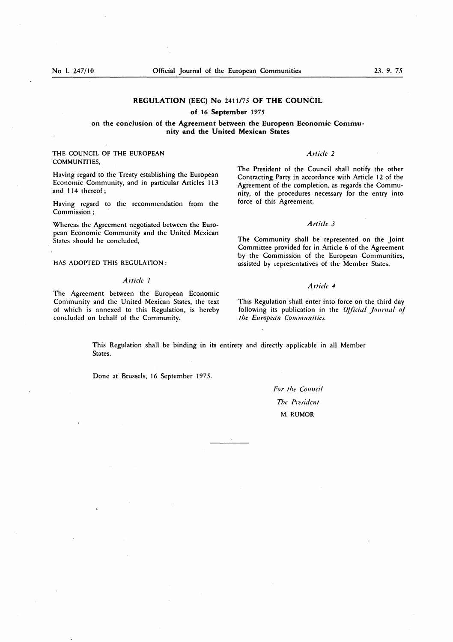#### **REGULATION (EEC) No** 2411/75 **OF THE COUNCIL**

### **of** 16 **September** <sup>1975</sup>

# **on the conclusion of the Agreement between the European Economic Community and the United Mexican States**

### THE COUNCIL OF THE EUROPEAN COMMUNITIES,

Having regard to the Treaty establishing the European Economic Community, and in particular Articles 113 and 114 thereof ;

Having regard to the recommendation from the Commission ;

Whereas the Agreement negotiated between the European Economic Community and the United Mexican States should be concluded,

HAS ADOPTED THIS REGULATION :

### *Article 1*

The Agreement between the European Economic Community and the United Mexican States, the text of which is annexed to this Regulation, is hereby concluded on behalf of the Community.

#### *Article 2*

The President of the Council shall notify the other Contracting Party in accordance with Article 12 of the Agreement of the completion, as regards the Community, of the procedures necessary for the entry into force of this Agreement.

# *Article 3*

The Community shall be represented on the Joint Committee provided for in Article 6 of the Agreement by the Commission of the European Communities, assisted by representatives of the Member States.

#### *Article 4*

This Regulation shall enter into force on the third day following its publication in the *Official Journal of the European Communities.*

This Regulation shall be binding in its entirety and directly applicable in all Member States.

Done at Brussels, 16 September 1975.

*For the Council The President* **M. RUMOR**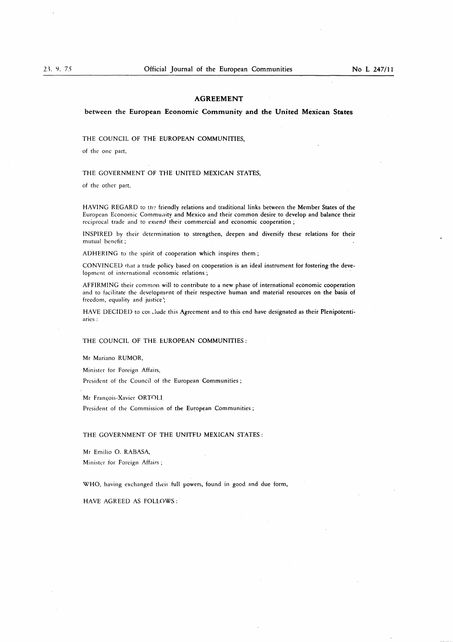### **AGREEMENT**

between the **European Economic Community and the United Mexican States**

THE COUNCIL OF THE EUROPEAN COMMUNITIES,

of the one part,

THE GOVERNMENT OF THE UNITED MEXICAN STATES,

of the other part,

HAVING REGARD to the friendly relations and traditional links between the Member States of the European Economic Community and Mexico and their common desire to develop and balance their reciprocal trade and to extend their commercial and economic cooperation;

INSPIRED by their determination to strengthen, deepen and diversify these relations for their mutual benefit ;

ADHERING to the spirit of cooperation which inspires them ;

CONVINCED that a trade policy based on cooperation is an ideal instrument for fostering the development of international economic relations ;

AFFIRMING their common will to contribute to a new phase of international economic cooperation and to facilitate the development of their respective huinan and material resources on the basis of freedom, equality and justice';

HAVE DECIDED to cor.Jude this Agreement and to this end have designated as their Plenipotentiaries :

#### THE COUNCIL OF THE EUROPEAN COMMUNITIES :

Mr Mariano RUMOR,

Minister for Foreign Affairs,

President of the Council of the European Communities ;

Mr Francois-Xavier ORTOLI

President of the Commission of the European Communities ;

#### THE GOVERNMENT OF THE UNITED MEXICAN STATES :

Mr Emilio 0. RABASA, Minister for Foreign Affairs ;

WHO, having exchanged theii full powers, found in good and due form,

HAVE AGREED AS FOLLOWS :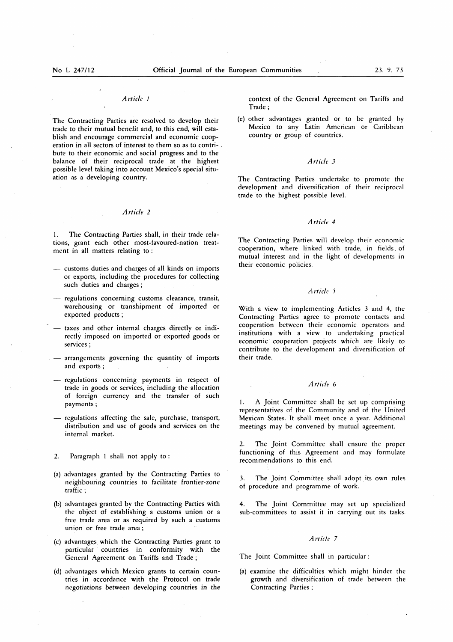#### *Article I*

The Contracting Parties are resolved to develop their trade to their mutual benefit and, to this end, will establish and encourage commercial and economic cooperation in all sectors of interest to them so as to contribute to their economic and social progress and to the balance of their reciprocal trade at the highest possible level taking into account Mexico's special situation as a developing country.

# *Article 2*

1. The Contracting Parties shall, in their trade relations, grant each other most-favoured-nation treatment in all matters relating to :

- customs duties and charges of all kinds on imports or exports, including the procedures for collecting such duties and charges ;
- regulations concerning customs clearance, transit, warehousing or transhipment of imported or exported products ;
- taxes and other internal charges directly or indirectly imposed on imported or exported goods or services ;
- arrangements governing the quantity of imports and exports ;
- regulations concerning payments in respect of trade in goods or services, including the allocation of foreign currency and the transfer of such payments ;
- regulations affecting the sale, purchase, transport, distribution and use of goods and services on the internal market.
- 2. Paragraph 1 shall not apply to :
- (a) advantages granted by the Contracting Parties to neighbouring countries to facilitate frontier-zone traffic ;
- (b) advantages granted by the Contracting Parties with the object of establishing a customs union or a free trade area or as required by such a customs union or free trade area ;
- (c) advantages which the Contracting Parties grant to particular countries in conformity with the General Agreement on Tariffs and Trade ;
- (d) advantages which Mexico grants to certain countries in accordance with the Protocol on trade negotiations *between* developing countries in the

context of the General Agreement on Tariffs and Trade ;

(e) other advantages granted or to be granted by Mexico to any Latin American or Caribbean country or group of countries.

# *Article 3*

The Contracting Parties undertake to promote the development and diversification of their reciprocal trade to the highest possible level.

# *Article 4*

The Contracting Parties will develop their economic cooperation, where linked with trade, in fields of mutual interest and in the light of developments in their economic policies.

#### *Article 5*

With a view to implementing Articles 3 and 4, the Contracting Parties agree to promote contacts and cooperation between their economic operators and institutions with a view to undertaking practical economic cooperation projects which are likely to contribute to the development and diversification of their trade.

# *Article 6*

1. A Joint Committee shall be set up comprising representatives of the Community and of the United Mexican States. It shall meet once a year. Additional meetings may be convened by mutual agreement.

2. The Joint Committee shall ensure the proper functioning of this Agreement and may formulate recommendations to this end.

3. The Joint Committee shall adopt its own rules of procedure and programme of work.

4. The Joint Committee may set up specialized sub-committees to assist it in carrying out its tasks.

#### *Article 7*

The Joint Committee shall in particular :

(a) examine the difficulties which might hinder the growth and diversification of trade between the Contracting Parties ;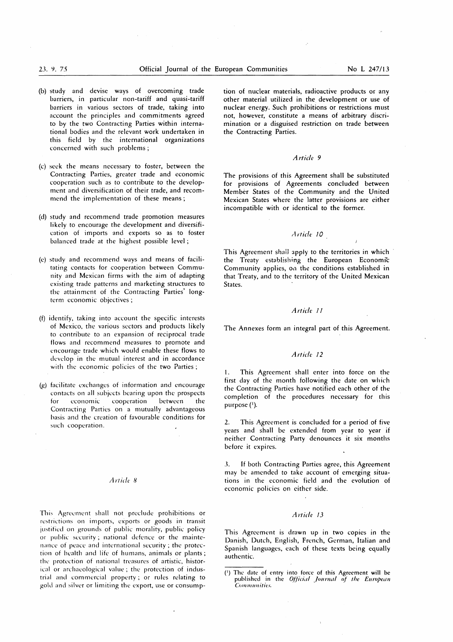- (b) study and devise ways of overcoming trade barriers, in particular non-tariff and quasi-tariff barriers in various sectors of trade, taking into account the principles and commitments agreed to by the two Contracting Parties within international bodies and the relevant work undertaken in this field by the international organizations concerned with such problems;
- (c) seek the means necessary to foster, between the Contracting Parties, greater trade and economic cooperation such as to contribute to the development and diversification of their trade, and recommend the implementation of these means ;
- (d) study and recommend trade promotion measures likely to encourage the development and diversification of imports and exports so as to foster balanced trade at the highest possible level ;
- (c) study and recommend ways and means of facilitating contacts for cooperation between Community and Mexican firms with the aim of adapting existing trade patterns and marketing structures to the attainment of the Contracting Parties' longterm economic objectives ;
- (f) identify, taking into account the specific interests of Mexico, the various sectors and products likely to contribute to an expansion of reciprocal trade flows and recommend measures to promote and encourage trade which would enable these flows to develop in the mutual interest and in accordance with the economic policies of the two Parties;
- (g) facilitate exchanges of information and encourage contacts on all subjects bearing upon the prospects for economic cooperation between the Contracting Parties on a mutually advantageous basis and the creation of favourable conditions for such cooperation.

#### *Article 8*

This Agreement shall not preclude prohibitions or restrictions on imports, exports or goods in transit justified on grounds of public morality, public policy or public security ; national defence or the maintenance of peace and international security ; the protection of health and life of humans, animals or plants ; the protection of national treasures of artistic, historical or archaeological value ; the protection of industrial and commercial property ; or rules relating to gold and silver or limiting the export, use or consumption of nuclear materials, radioactive products or any other material utilized in the development or use of nuclear energy. Such prohibitions or restrictions must not, however, constitute a means of arbitrary discrimination or a disguised restriction on trade between the Contracting Parties.

### *Article 9*

The provisions of this Agreement shall be substituted for provisions of Agreements concluded between Member States of the Community and the United Mexican States where the latter provisions are either incompatible with or identical to the former.

# Article 10

This Agreement shall apply to the territories in which the Treaty establishing the European Economic Community applies, on the conditions established in that Treaty, and to the territory of the United Mexican States.

#### *Article 11*

The Annexes form an integral part of this Agreement.

### *Article 12*

1. This Agreement shall enter into force on the first day of the month following the date on which the Contracting Parties have notified each other of the completion of the procedures necessary for this purpose (1).

This Agreement is concluded for a period of five years and shall be extended from year to year if neither Contracting Party denounces it six months before it expires.

3. If both Contracting Parties agree, this Agreement may be amended to take account of emerging situations in the economic field and the evolution of economic policies on either side.

# *Article* 13

This Agreement is drawn up in two copies in the Danish, Dutch, English, French, German, Italian and Spanish languages, each of these texts being equally authentic.

<sup>(1)</sup> The date of entry into force of this Agreement will be published in the *Official Journal of the European Communities.*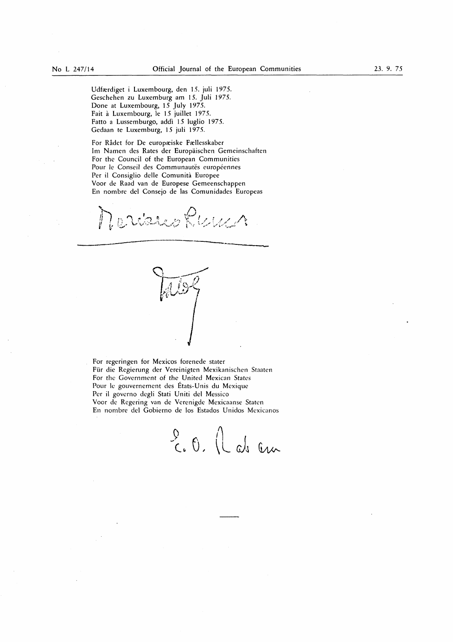Udfærdiget i Luxembourg, den 15. juli 1975. Geschehen zu Luxemburg am 15. Juli 1975. Done at Luxembourg, 15 July 1975. Fait a Luxembourg, le 15 juillet 1975. Fatto a Lussemburgo, addi 15 luglio 1975. Gedaan te Luxemburg, 15 juli 1975.

For Rådet for De europæiske Fællesskaber Im Namen des Rates der Europäischen Gemeinschaften For the Council of the European Communities Pour le Conseil des Communautés européennes Per il Consiglio delle Comunità Europee Voor de Rand van de Europese Gemeenschappen En nombre del Consejo de las Comunidades Europeas

D. Wahes Klein i,

Q  $\overline{\phantom{a}}$  $\bar U$ 

For regeringen for Mexicos forenede stater Für die Regierung der Vereinigten Mexikanischen Staaten For the Government of the United Mexican States Pour he gouvernement des Etats-Unis du Mexique Per il governo degli Stati Uniti del Messico Voor de Regering van de Verenigde Mexicaanse Staten En nombre del Gobierno de los Estados Unidos Mexicanos

(/)  $U.$   $U$  as an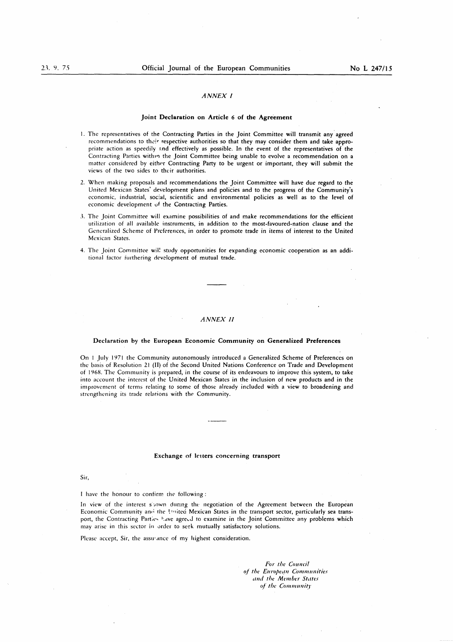#### *ANNEX I*

#### Joint Declaration on Article 6 of the Agreement

- 1. The representatives of the Contracting Parties in the Joint Committee will transmit any agreed recommendations to their respective authorities so that they may consider them and take appropriate action as speedily and effectively as possible. In the event of the representatives of the Contracting Parties within the Joint Committee being unable to evolve a recommendation on a matter considered by either Contracting Party to be urgent or important, they will submit the views of the two sides to their authorities.
- 2. When making proposals and recommendations the Joint Committee will have due regard to the United Mexican States' development plans and policies and to the progress of the Community's economic, industrial, social, scientific and environmental policies as well as to the level of economic development of the Contracting Parties.
- 3. The Joint Committee will examine possibilities of and make recommendations for the efficient utilization of all available instruments, in addition to the most-favoured-nation clause and the Generalized Scheme of Preferences, in order to promote trade in items of interest to the United Mexican States.
- 4. The Joint Committee will study opportunities for expanding economic cooperation as an additional factor furthering development of mutual trade.

#### *ANNEX II*

#### Declaration by the European Economic Community on Generalized Preferences

On I July 1971 the Community autonomously introduced a Generalized Scheme of Preferences on the basis of Resolution 21 (II) of the Second United Nations Conference on Trade and Development of 1968. The Community is prepared, in the course of its endeavours to improve this system, to take into account the interest of the United Mexican States in the inclusion of new products and in the improvement of terms relating to some of those already included with a view to broadening and strengthening its trade relations with the Community.

#### Exchange of letters concerning transport

Sir,

I have the honour to confirm the following :

In view of the interest shown during the negotiation of the Agreement between the European Economic Community and the United Mexican States in the transport sector, particularly sea transport, the Contracting Parties have agreed to examine in the Joint Committee any problems which may arise in this sector in order to seek mutually satisfactory solutions.

Please accept, Sir, the assurance of my highest consideration.

*For the Council* of *the European Communities and the Member States* of the Community